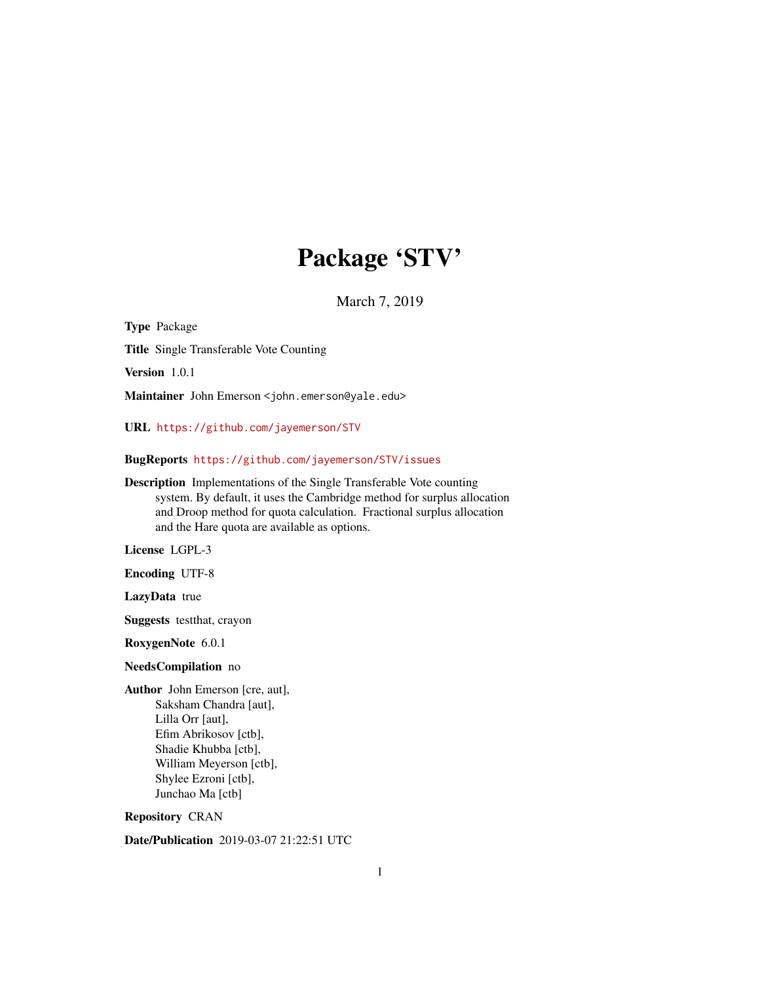## Package 'STV'

March 7, 2019

Type Package Title Single Transferable Vote Counting Version 1.0.1 Maintainer John Emerson <john.emerson@yale.edu> URL <https://github.com/jayemerson/STV> BugReports <https://github.com/jayemerson/STV/issues> Description Implementations of the Single Transferable Vote counting system. By default, it uses the Cambridge method for surplus allocation and Droop method for quota calculation. Fractional surplus allocation and the Hare quota are available as options. License LGPL-3 Encoding UTF-8 LazyData true Suggests testthat, crayon RoxygenNote 6.0.1 NeedsCompilation no Author John Emerson [cre, aut], Saksham Chandra [aut], Lilla Orr [aut], Efim Abrikosov [ctb], Shadie Khubba [ctb], William Meyerson [ctb], Shylee Ezroni [ctb], Junchao Ma [ctb] Repository CRAN Date/Publication 2019-03-07 21:22:51 UTC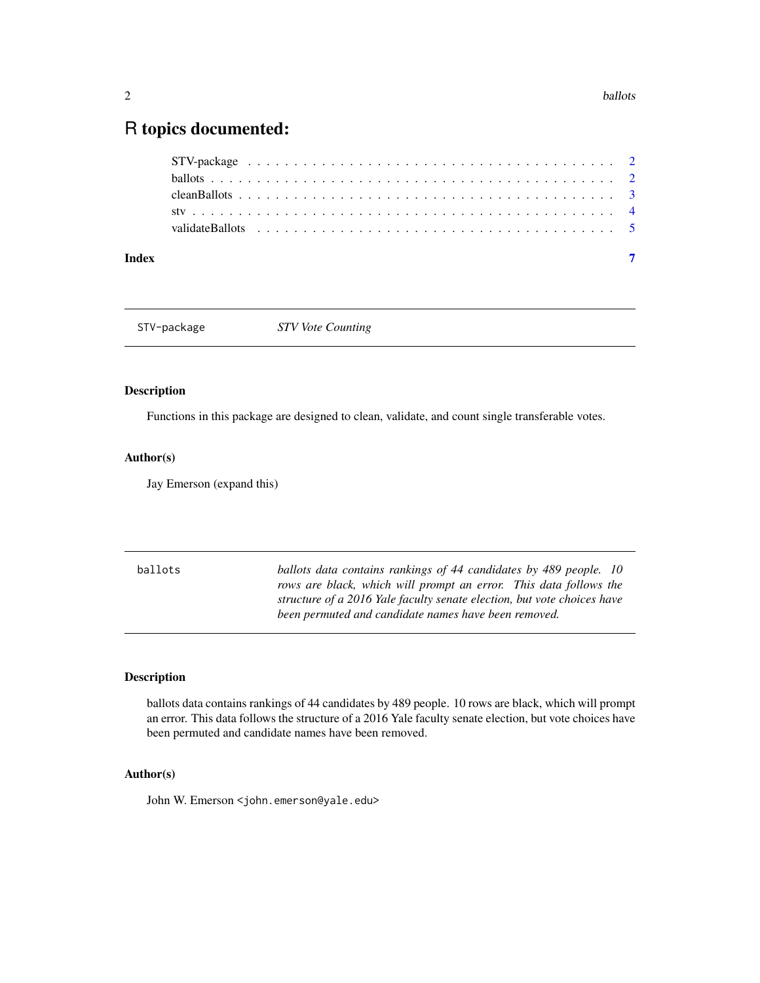## <span id="page-1-0"></span>R topics documented:

| Index |  |  |  |  |  |  |  |  |  |  |  |  |  |  |  |  |  |  |  |
|-------|--|--|--|--|--|--|--|--|--|--|--|--|--|--|--|--|--|--|--|

STV-package *STV Vote Counting*

#### Description

Functions in this package are designed to clean, validate, and count single transferable votes.

#### Author(s)

Jay Emerson (expand this)

ballots *ballots data contains rankings of 44 candidates by 489 people. 10 rows are black, which will prompt an error. This data follows the structure of a 2016 Yale faculty senate election, but vote choices have been permuted and candidate names have been removed.*

#### Description

ballots data contains rankings of 44 candidates by 489 people. 10 rows are black, which will prompt an error. This data follows the structure of a 2016 Yale faculty senate election, but vote choices have been permuted and candidate names have been removed.

### Author(s)

John W. Emerson <john.emerson@yale.edu>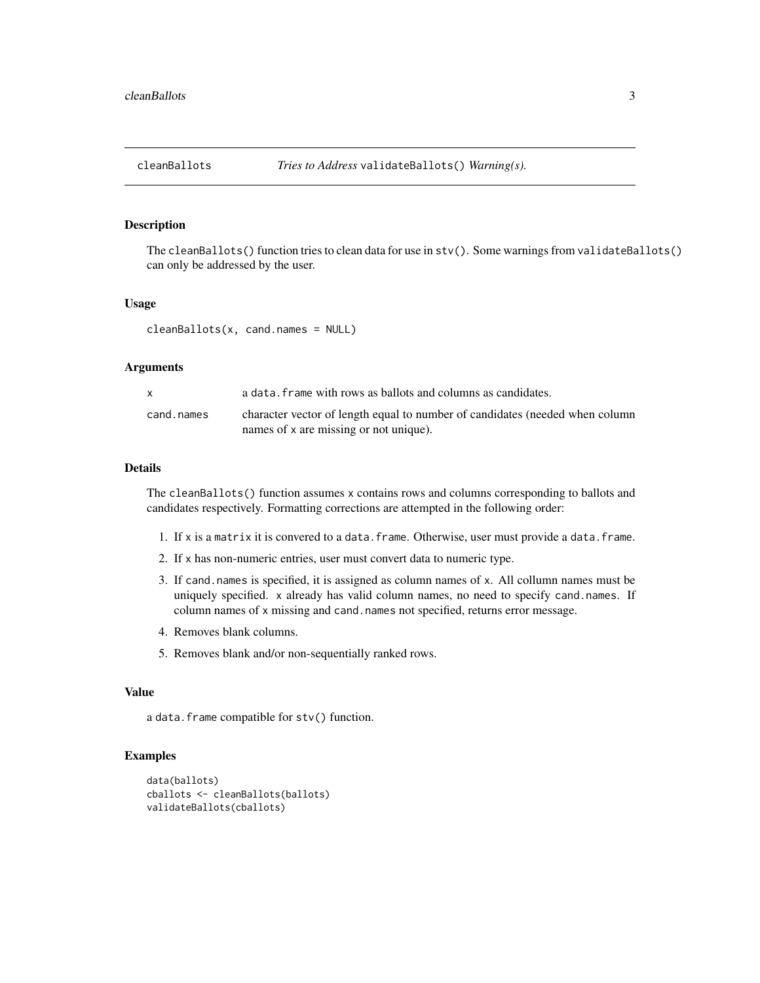<span id="page-2-0"></span>

#### Description

The cleanBallots() function tries to clean data for use in stv(). Some warnings from validateBallots() can only be addressed by the user.

#### Usage

cleanBallots(x, cand.names = NULL)

#### Arguments

|            | a data. frame with rows as ballots and columns as candidates.                                                          |
|------------|------------------------------------------------------------------------------------------------------------------------|
| cand.names | character vector of length equal to number of candidates (needed when column<br>names of x are missing or not unique). |

#### Details

The cleanBallots() function assumes x contains rows and columns corresponding to ballots and candidates respectively. Formatting corrections are attempted in the following order:

- 1. If x is a matrix it is convered to a data.frame. Otherwise, user must provide a data.frame.
- 2. If x has non-numeric entries, user must convert data to numeric type.
- 3. If cand.names is specified, it is assigned as column names of x. All collumn names must be uniquely specified. x already has valid column names, no need to specify cand.names. If column names of x missing and cand.names not specified, returns error message.
- 4. Removes blank columns.
- 5. Removes blank and/or non-sequentially ranked rows.

#### Value

a data.frame compatible for stv() function.

#### Examples

```
data(ballots)
cballots <- cleanBallots(ballots)
validateBallots(cballots)
```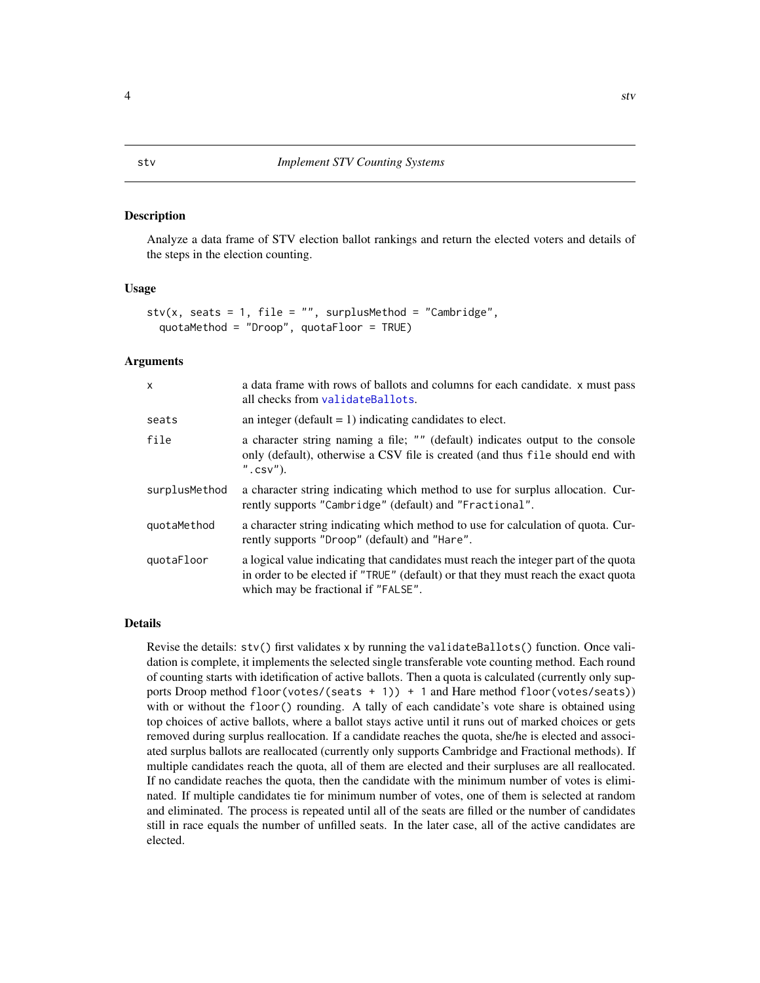#### <span id="page-3-0"></span>Description

Analyze a data frame of STV election ballot rankings and return the elected voters and details of the steps in the election counting.

#### Usage

```
stv(x, seats = 1, file = ''', surplusMethod = ''Cambridge'',quotaMethod = "Droop", quotaFloor = TRUE)
```
#### **Arguments**

| X             | a data frame with rows of ballots and columns for each candidate. x must pass<br>all checks from validateBallots.                                                                                                |
|---------------|------------------------------------------------------------------------------------------------------------------------------------------------------------------------------------------------------------------|
| seats         | an integer (default $= 1$ ) indicating candidates to elect.                                                                                                                                                      |
| file          | a character string naming a file; "" (default) indicates output to the console<br>only (default), otherwise a CSV file is created (and thus file should end with<br>$"$ . $\text{csv}"$ ).                       |
| surplusMethod | a character string indicating which method to use for surplus allocation. Cur-<br>rently supports "Cambridge" (default) and "Fractional".                                                                        |
| quotaMethod   | a character string indicating which method to use for calculation of quota. Cur-<br>rently supports "Droop" (default) and "Hare".                                                                                |
| quotaFloor    | a logical value indicating that candidates must reach the integer part of the quota<br>in order to be elected if "TRUE" (default) or that they must reach the exact quota<br>which may be fractional if "FALSE". |

#### Details

Revise the details: stv() first validates x by running the validateBallots() function. Once validation is complete, it implements the selected single transferable vote counting method. Each round of counting starts with idetification of active ballots. Then a quota is calculated (currently only supports Droop method floor(votes/(seats + 1)) + 1 and Hare method floor(votes/seats)) with or without the floor() rounding. A tally of each candidate's vote share is obtained using top choices of active ballots, where a ballot stays active until it runs out of marked choices or gets removed during surplus reallocation. If a candidate reaches the quota, she/he is elected and associated surplus ballots are reallocated (currently only supports Cambridge and Fractional methods). If multiple candidates reach the quota, all of them are elected and their surpluses are all reallocated. If no candidate reaches the quota, then the candidate with the minimum number of votes is eliminated. If multiple candidates tie for minimum number of votes, one of them is selected at random and eliminated. The process is repeated until all of the seats are filled or the number of candidates still in race equals the number of unfilled seats. In the later case, all of the active candidates are elected.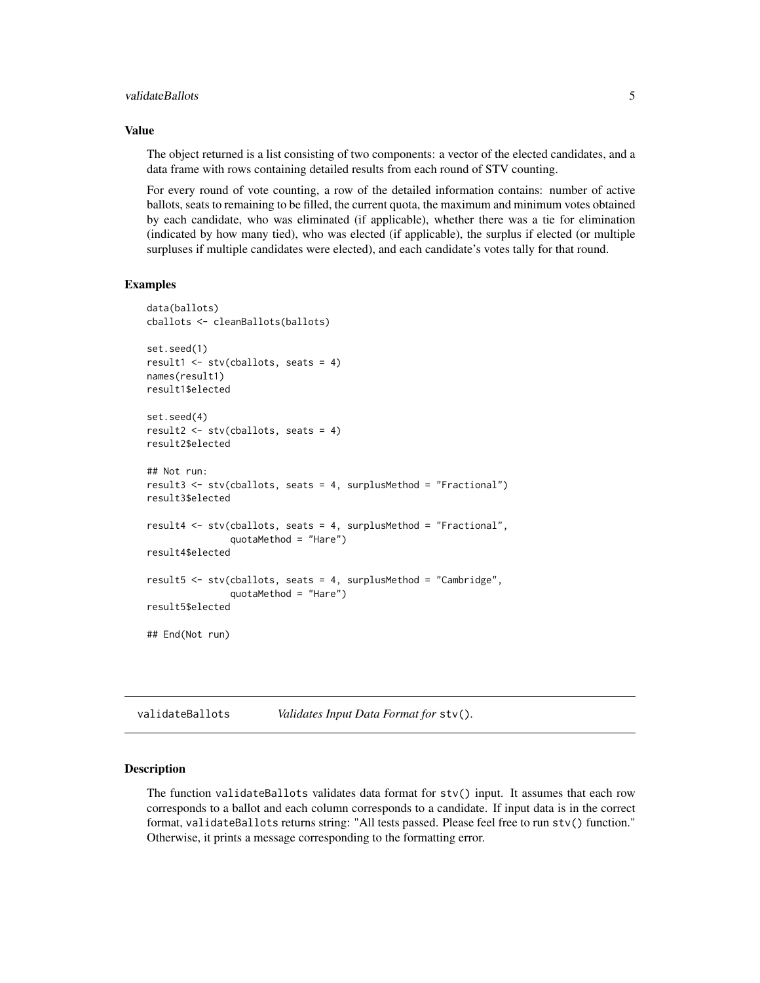#### <span id="page-4-0"></span>validateBallots 5

#### Value

The object returned is a list consisting of two components: a vector of the elected candidates, and a data frame with rows containing detailed results from each round of STV counting.

For every round of vote counting, a row of the detailed information contains: number of active ballots, seats to remaining to be filled, the current quota, the maximum and minimum votes obtained by each candidate, who was eliminated (if applicable), whether there was a tie for elimination (indicated by how many tied), who was elected (if applicable), the surplus if elected (or multiple surpluses if multiple candidates were elected), and each candidate's votes tally for that round.

#### Examples

```
data(ballots)
cballots <- cleanBallots(ballots)
set.seed(1)
result1 <- stv(cballots, seats = 4)
names(result1)
result1$elected
set.seed(4)
result2 <- stv(cballots, seats = 4)
result2$elected
## Not run:
result3 <- stv(cballots, seats = 4, surplusMethod = "Fractional")
result3$elected
result4 <- stv(cballots, seats = 4, surplusMethod = "Fractional",
               quotaMethod = "Hare")
result4$elected
result5 <- stv(cballots, seats = 4, surplusMethod = "Cambridge",
               quotaMethod = "Hare")
result5$elected
## End(Not run)
```
<span id="page-4-1"></span>validateBallots *Validates Input Data Format for* stv()*.*

#### Description

The function validateBallots validates data format for stv() input. It assumes that each row corresponds to a ballot and each column corresponds to a candidate. If input data is in the correct format, validateBallots returns string: "All tests passed. Please feel free to run stv() function." Otherwise, it prints a message corresponding to the formatting error.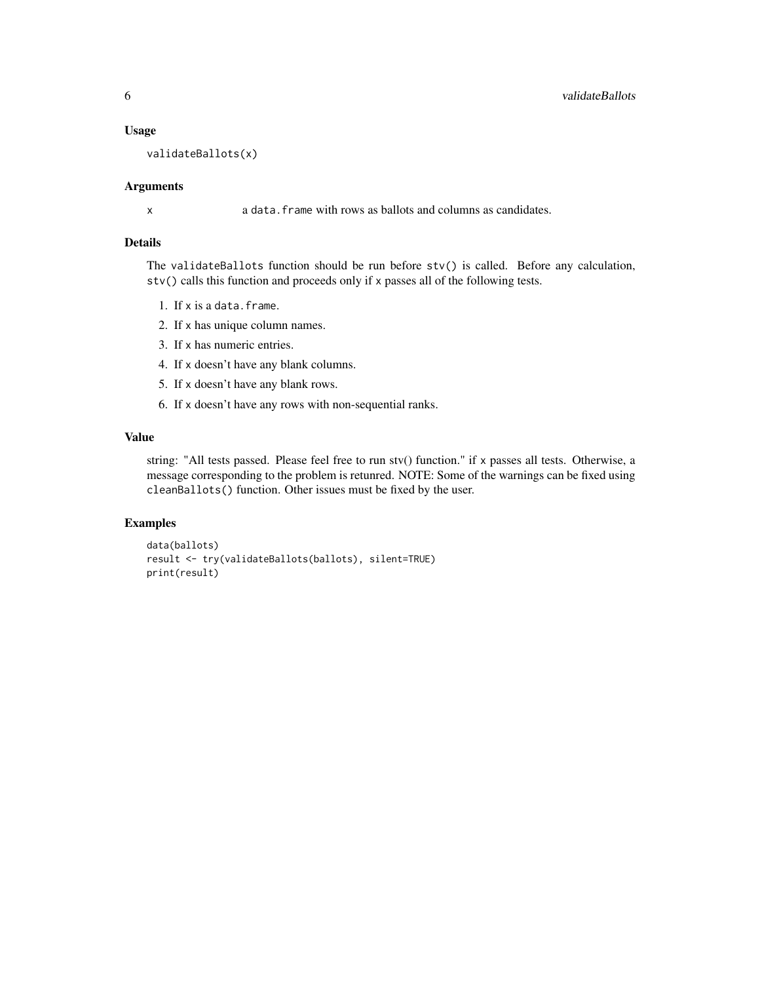#### Usage

```
validateBallots(x)
```
#### Arguments

x a data.frame with rows as ballots and columns as candidates.

#### Details

The validateBallots function should be run before stv() is called. Before any calculation, stv() calls this function and proceeds only if x passes all of the following tests.

- 1. If x is a data.frame.
- 2. If x has unique column names.
- 3. If x has numeric entries.
- 4. If x doesn't have any blank columns.
- 5. If x doesn't have any blank rows.
- 6. If x doesn't have any rows with non-sequential ranks.

#### Value

string: "All tests passed. Please feel free to run stv() function." if x passes all tests. Otherwise, a message corresponding to the problem is retunred. NOTE: Some of the warnings can be fixed using cleanBallots() function. Other issues must be fixed by the user.

#### Examples

```
data(ballots)
result <- try(validateBallots(ballots), silent=TRUE)
print(result)
```